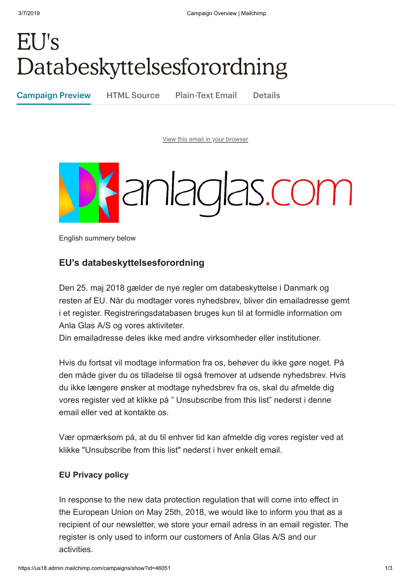## EU's Databeskyttelsesforordning

Campaign Preview HTML Source Plain-Text Email Details

[View this email in your browser](https://mailchi.mp/cf3c3c8b47e8/eus-databeskyttelsesforordning?e=[UNIQID])



English summery below

## **EU's databeskyttelsesforordning**

Den 25. maj 2018 gælder de nye regler om databeskyttelse i Danmark og resten af EU. Når du modtager vores nyhedsbrev, bliver din emailadresse gemt i et register. Registreringsdatabasen bruges kun til at formidle information om Anla Glas A/S og vores aktiviteter.

Din emailadresse deles ikke med andre virksomheder eller institutioner.

Hvis du fortsat vil modtage information fra os, behøver du ikke gøre noget. På den måde giver du os tilladelse til også fremover at udsende nyhedsbrev. Hvis du ikke længere ønsker at modtage nyhedsbrev fra os, skal du afmelde dig vores register ved at klikke på " Unsubscribe from this list" nederst i denne email eller ved at kontakte os.

Vær opmærksom på, at du til enhver tid kan afmelde dig vores register ved at klikke "Unsubscribe from this list" nederst i hver enkelt email.

## **EU Privacy policy**

In response to the new data protection regulation that will come into effect in the European Union on May 25th, 2018, we would like to inform you that as a recipient of our newsletter, we store your email adress in an email register. The register is only used to inform our customers of Anla Glas A/S and our activities.